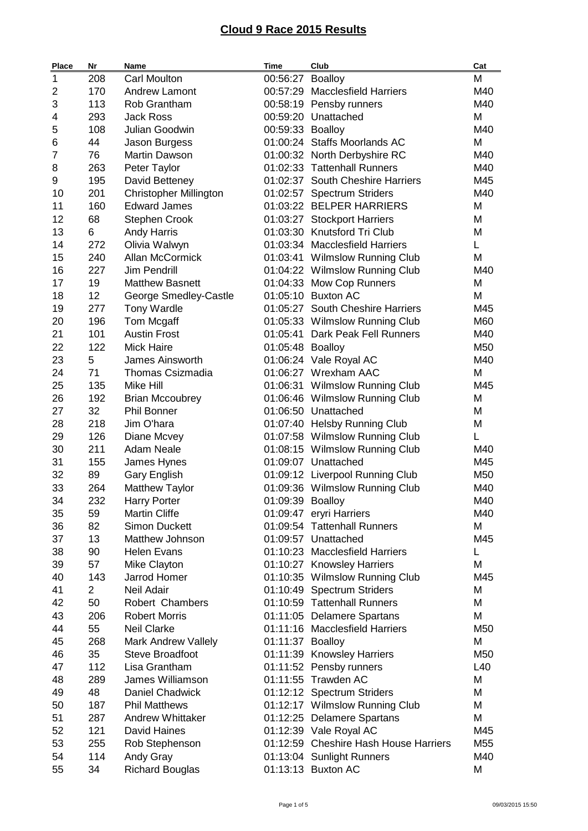| 1<br><b>Carl Moulton</b><br>00:56:27 Boalloy<br>208<br>M<br>170<br><b>Andrew Lamont</b><br>00:57:29 Macclesfield Harriers<br>M40<br>2<br>3<br>113<br>00:58:19 Pensby runners<br>M40<br>Rob Grantham<br>293<br><b>Jack Ross</b><br>M<br>4<br>00:59:20 Unattached<br>5<br>108<br>Julian Goodwin<br>00:59:33 Boalloy<br>M40<br>6<br>44<br>01:00:24 Staffs Moorlands AC<br>M<br>Jason Burgess<br>76<br>7<br><b>Martin Dawson</b><br>01:00:32 North Derbyshire RC<br>M40<br>263<br>Peter Taylor<br>01:02:33 Tattenhall Runners<br>M40<br>8<br>01:02:37 South Cheshire Harriers<br>9<br>195<br>David Betteney<br>M45<br>201<br><b>Christopher Millington</b><br>01:02:57 Spectrum Striders<br>M40<br>10<br>11<br>160<br><b>Edward James</b><br>01:03:22 BELPER HARRIERS<br>M<br>12<br>68<br><b>Stephen Crook</b><br>01:03:27 Stockport Harriers<br>Μ<br>13<br>01:03:30 Knutsford Tri Club<br>M<br>6<br><b>Andy Harris</b><br>272<br>14<br>Olivia Walwyn<br>01:03:34 Macclesfield Harriers<br>L.<br>15<br>240<br>Allan McCormick<br>M<br>01:03:41 Wilmslow Running Club<br>16<br>227<br>Jim Pendrill<br>01:04:22 Wilmslow Running Club<br>M40<br>19<br>17<br><b>Matthew Basnett</b><br>01:04:33 Mow Cop Runners<br>M<br>12<br>18<br>01:05:10 Buxton AC<br>M<br>George Smedley-Castle<br>01:05:27 South Cheshire Harriers<br>19<br>277<br><b>Tony Wardle</b><br>M45<br>20<br>196<br>Tom Mcgaff<br>01:05:33 Wilmslow Running Club<br>M60<br>101<br>21<br><b>Austin Frost</b><br>01:05:41 Dark Peak Fell Runners<br>M40<br>22<br>122<br><b>Mick Haire</b><br>01:05:48 Boalloy<br>M50<br>5<br>23<br>James Ainsworth<br>01:06:24 Vale Royal AC<br>M40<br>71<br>M<br>24<br><b>Thomas Csizmadia</b><br>01:06:27 Wrexham AAC<br>25<br>135<br>Mike Hill<br>01:06:31 Wilmslow Running Club<br>M45<br>26<br>192<br><b>Brian Mccoubrey</b><br>01:06:46 Wilmslow Running Club<br>М<br>27<br>32<br><b>Phil Bonner</b><br>01:06:50 Unattached<br>Μ<br>28<br>218<br>Jim O'hara<br>01:07:40 Helsby Running Club<br>M<br>29<br>126<br>Г<br>Diane Mcvey<br>01:07:58 Wilmslow Running Club<br>30<br>211<br><b>Adam Neale</b><br>01:08:15 Wilmslow Running Club<br>M40<br>31<br>155<br>01:09:07 Unattached<br>M45<br>James Hynes<br>32<br>89<br>01:09:12 Liverpool Running Club<br>M50<br><b>Gary English</b><br>33<br>264<br>01:09:36 Wilmslow Running Club<br><b>Matthew Taylor</b><br>M40<br>34<br>232<br><b>Harry Porter</b><br>01:09:39 Boalloy<br>M40<br>Martin Cliffe<br>35<br>59<br>01:09:47 eryri Harriers<br>M40<br>36<br>82<br><b>Simon Duckett</b><br>01:09:54 Tattenhall Runners<br>M<br>37<br>13<br>Matthew Johnson<br>01:09:57 Unattached<br>M45<br>38<br>90<br>01:10:23 Macclesfield Harriers<br><b>Helen Evans</b><br>L<br>39<br>57<br>Mike Clayton<br>01:10:27 Knowsley Harriers<br>M<br>40<br>143<br>Jarrod Homer<br>01:10:35 Wilmslow Running Club<br>M45<br>$\overline{2}$<br>41<br>Neil Adair<br>01:10:49 Spectrum Striders<br>M<br>50<br>42<br>Robert Chambers<br>01:10:59 Tattenhall Runners<br>М<br>43<br>206<br><b>Robert Morris</b><br>M<br>01:11:05 Delamere Spartans<br>44<br>55<br><b>Neil Clarke</b><br>01:11:16 Macclesfield Harriers<br>M50<br>45<br>268<br><b>Mark Andrew Vallely</b><br>01:11:37 Boalloy<br>M<br>46<br>35<br>Steve Broadfoot<br>01:11:39 Knowsley Harriers<br>M50<br>47<br>112<br>Lisa Grantham<br>01:11:52 Pensby runners<br>L40<br>289<br>James Williamson<br>01:11:55 Trawden AC<br>M<br>48<br>49<br>48<br><b>Daniel Chadwick</b><br>01:12:12 Spectrum Striders<br>M<br>187<br><b>Phil Matthews</b><br>01:12:17 Wilmslow Running Club<br>50<br>М<br>51<br><b>Andrew Whittaker</b><br>01:12:25 Delamere Spartans<br>Μ<br>287<br>52<br>121<br>01:12:39 Vale Royal AC<br>M45<br>David Haines<br>53<br>255<br>01:12:59 Cheshire Hash House Harriers<br>M55<br>Rob Stephenson<br>54<br>114<br>Andy Gray<br>01:13:04 Sunlight Runners<br>M40<br>55<br>34<br><b>Richard Bouglas</b><br>01:13:13 Buxton AC<br>M | <b>Place</b> | Nr | Name | Time | Club | Cat |
|-----------------------------------------------------------------------------------------------------------------------------------------------------------------------------------------------------------------------------------------------------------------------------------------------------------------------------------------------------------------------------------------------------------------------------------------------------------------------------------------------------------------------------------------------------------------------------------------------------------------------------------------------------------------------------------------------------------------------------------------------------------------------------------------------------------------------------------------------------------------------------------------------------------------------------------------------------------------------------------------------------------------------------------------------------------------------------------------------------------------------------------------------------------------------------------------------------------------------------------------------------------------------------------------------------------------------------------------------------------------------------------------------------------------------------------------------------------------------------------------------------------------------------------------------------------------------------------------------------------------------------------------------------------------------------------------------------------------------------------------------------------------------------------------------------------------------------------------------------------------------------------------------------------------------------------------------------------------------------------------------------------------------------------------------------------------------------------------------------------------------------------------------------------------------------------------------------------------------------------------------------------------------------------------------------------------------------------------------------------------------------------------------------------------------------------------------------------------------------------------------------------------------------------------------------------------------------------------------------------------------------------------------------------------------------------------------------------------------------------------------------------------------------------------------------------------------------------------------------------------------------------------------------------------------------------------------------------------------------------------------------------------------------------------------------------------------------------------------------------------------------------------------------------------------------------------------------------------------------------------------------------------------------------------------------------------------------------------------------------------------------------------------------------------------------------------------------------------------------------------------------------------------------------------------------------------------------------------------------------------------------------------------------------------------------------------------------------------------------------------------------------------------------------------------------------------------------------------------------------------------------------------------------------------------------------|--------------|----|------|------|------|-----|
|                                                                                                                                                                                                                                                                                                                                                                                                                                                                                                                                                                                                                                                                                                                                                                                                                                                                                                                                                                                                                                                                                                                                                                                                                                                                                                                                                                                                                                                                                                                                                                                                                                                                                                                                                                                                                                                                                                                                                                                                                                                                                                                                                                                                                                                                                                                                                                                                                                                                                                                                                                                                                                                                                                                                                                                                                                                                                                                                                                                                                                                                                                                                                                                                                                                                                                                                                                                                                                                                                                                                                                                                                                                                                                                                                                                                                                                                                                                                   |              |    |      |      |      |     |
|                                                                                                                                                                                                                                                                                                                                                                                                                                                                                                                                                                                                                                                                                                                                                                                                                                                                                                                                                                                                                                                                                                                                                                                                                                                                                                                                                                                                                                                                                                                                                                                                                                                                                                                                                                                                                                                                                                                                                                                                                                                                                                                                                                                                                                                                                                                                                                                                                                                                                                                                                                                                                                                                                                                                                                                                                                                                                                                                                                                                                                                                                                                                                                                                                                                                                                                                                                                                                                                                                                                                                                                                                                                                                                                                                                                                                                                                                                                                   |              |    |      |      |      |     |
|                                                                                                                                                                                                                                                                                                                                                                                                                                                                                                                                                                                                                                                                                                                                                                                                                                                                                                                                                                                                                                                                                                                                                                                                                                                                                                                                                                                                                                                                                                                                                                                                                                                                                                                                                                                                                                                                                                                                                                                                                                                                                                                                                                                                                                                                                                                                                                                                                                                                                                                                                                                                                                                                                                                                                                                                                                                                                                                                                                                                                                                                                                                                                                                                                                                                                                                                                                                                                                                                                                                                                                                                                                                                                                                                                                                                                                                                                                                                   |              |    |      |      |      |     |
|                                                                                                                                                                                                                                                                                                                                                                                                                                                                                                                                                                                                                                                                                                                                                                                                                                                                                                                                                                                                                                                                                                                                                                                                                                                                                                                                                                                                                                                                                                                                                                                                                                                                                                                                                                                                                                                                                                                                                                                                                                                                                                                                                                                                                                                                                                                                                                                                                                                                                                                                                                                                                                                                                                                                                                                                                                                                                                                                                                                                                                                                                                                                                                                                                                                                                                                                                                                                                                                                                                                                                                                                                                                                                                                                                                                                                                                                                                                                   |              |    |      |      |      |     |
|                                                                                                                                                                                                                                                                                                                                                                                                                                                                                                                                                                                                                                                                                                                                                                                                                                                                                                                                                                                                                                                                                                                                                                                                                                                                                                                                                                                                                                                                                                                                                                                                                                                                                                                                                                                                                                                                                                                                                                                                                                                                                                                                                                                                                                                                                                                                                                                                                                                                                                                                                                                                                                                                                                                                                                                                                                                                                                                                                                                                                                                                                                                                                                                                                                                                                                                                                                                                                                                                                                                                                                                                                                                                                                                                                                                                                                                                                                                                   |              |    |      |      |      |     |
|                                                                                                                                                                                                                                                                                                                                                                                                                                                                                                                                                                                                                                                                                                                                                                                                                                                                                                                                                                                                                                                                                                                                                                                                                                                                                                                                                                                                                                                                                                                                                                                                                                                                                                                                                                                                                                                                                                                                                                                                                                                                                                                                                                                                                                                                                                                                                                                                                                                                                                                                                                                                                                                                                                                                                                                                                                                                                                                                                                                                                                                                                                                                                                                                                                                                                                                                                                                                                                                                                                                                                                                                                                                                                                                                                                                                                                                                                                                                   |              |    |      |      |      |     |
|                                                                                                                                                                                                                                                                                                                                                                                                                                                                                                                                                                                                                                                                                                                                                                                                                                                                                                                                                                                                                                                                                                                                                                                                                                                                                                                                                                                                                                                                                                                                                                                                                                                                                                                                                                                                                                                                                                                                                                                                                                                                                                                                                                                                                                                                                                                                                                                                                                                                                                                                                                                                                                                                                                                                                                                                                                                                                                                                                                                                                                                                                                                                                                                                                                                                                                                                                                                                                                                                                                                                                                                                                                                                                                                                                                                                                                                                                                                                   |              |    |      |      |      |     |
|                                                                                                                                                                                                                                                                                                                                                                                                                                                                                                                                                                                                                                                                                                                                                                                                                                                                                                                                                                                                                                                                                                                                                                                                                                                                                                                                                                                                                                                                                                                                                                                                                                                                                                                                                                                                                                                                                                                                                                                                                                                                                                                                                                                                                                                                                                                                                                                                                                                                                                                                                                                                                                                                                                                                                                                                                                                                                                                                                                                                                                                                                                                                                                                                                                                                                                                                                                                                                                                                                                                                                                                                                                                                                                                                                                                                                                                                                                                                   |              |    |      |      |      |     |
|                                                                                                                                                                                                                                                                                                                                                                                                                                                                                                                                                                                                                                                                                                                                                                                                                                                                                                                                                                                                                                                                                                                                                                                                                                                                                                                                                                                                                                                                                                                                                                                                                                                                                                                                                                                                                                                                                                                                                                                                                                                                                                                                                                                                                                                                                                                                                                                                                                                                                                                                                                                                                                                                                                                                                                                                                                                                                                                                                                                                                                                                                                                                                                                                                                                                                                                                                                                                                                                                                                                                                                                                                                                                                                                                                                                                                                                                                                                                   |              |    |      |      |      |     |
|                                                                                                                                                                                                                                                                                                                                                                                                                                                                                                                                                                                                                                                                                                                                                                                                                                                                                                                                                                                                                                                                                                                                                                                                                                                                                                                                                                                                                                                                                                                                                                                                                                                                                                                                                                                                                                                                                                                                                                                                                                                                                                                                                                                                                                                                                                                                                                                                                                                                                                                                                                                                                                                                                                                                                                                                                                                                                                                                                                                                                                                                                                                                                                                                                                                                                                                                                                                                                                                                                                                                                                                                                                                                                                                                                                                                                                                                                                                                   |              |    |      |      |      |     |
|                                                                                                                                                                                                                                                                                                                                                                                                                                                                                                                                                                                                                                                                                                                                                                                                                                                                                                                                                                                                                                                                                                                                                                                                                                                                                                                                                                                                                                                                                                                                                                                                                                                                                                                                                                                                                                                                                                                                                                                                                                                                                                                                                                                                                                                                                                                                                                                                                                                                                                                                                                                                                                                                                                                                                                                                                                                                                                                                                                                                                                                                                                                                                                                                                                                                                                                                                                                                                                                                                                                                                                                                                                                                                                                                                                                                                                                                                                                                   |              |    |      |      |      |     |
|                                                                                                                                                                                                                                                                                                                                                                                                                                                                                                                                                                                                                                                                                                                                                                                                                                                                                                                                                                                                                                                                                                                                                                                                                                                                                                                                                                                                                                                                                                                                                                                                                                                                                                                                                                                                                                                                                                                                                                                                                                                                                                                                                                                                                                                                                                                                                                                                                                                                                                                                                                                                                                                                                                                                                                                                                                                                                                                                                                                                                                                                                                                                                                                                                                                                                                                                                                                                                                                                                                                                                                                                                                                                                                                                                                                                                                                                                                                                   |              |    |      |      |      |     |
|                                                                                                                                                                                                                                                                                                                                                                                                                                                                                                                                                                                                                                                                                                                                                                                                                                                                                                                                                                                                                                                                                                                                                                                                                                                                                                                                                                                                                                                                                                                                                                                                                                                                                                                                                                                                                                                                                                                                                                                                                                                                                                                                                                                                                                                                                                                                                                                                                                                                                                                                                                                                                                                                                                                                                                                                                                                                                                                                                                                                                                                                                                                                                                                                                                                                                                                                                                                                                                                                                                                                                                                                                                                                                                                                                                                                                                                                                                                                   |              |    |      |      |      |     |
|                                                                                                                                                                                                                                                                                                                                                                                                                                                                                                                                                                                                                                                                                                                                                                                                                                                                                                                                                                                                                                                                                                                                                                                                                                                                                                                                                                                                                                                                                                                                                                                                                                                                                                                                                                                                                                                                                                                                                                                                                                                                                                                                                                                                                                                                                                                                                                                                                                                                                                                                                                                                                                                                                                                                                                                                                                                                                                                                                                                                                                                                                                                                                                                                                                                                                                                                                                                                                                                                                                                                                                                                                                                                                                                                                                                                                                                                                                                                   |              |    |      |      |      |     |
|                                                                                                                                                                                                                                                                                                                                                                                                                                                                                                                                                                                                                                                                                                                                                                                                                                                                                                                                                                                                                                                                                                                                                                                                                                                                                                                                                                                                                                                                                                                                                                                                                                                                                                                                                                                                                                                                                                                                                                                                                                                                                                                                                                                                                                                                                                                                                                                                                                                                                                                                                                                                                                                                                                                                                                                                                                                                                                                                                                                                                                                                                                                                                                                                                                                                                                                                                                                                                                                                                                                                                                                                                                                                                                                                                                                                                                                                                                                                   |              |    |      |      |      |     |
|                                                                                                                                                                                                                                                                                                                                                                                                                                                                                                                                                                                                                                                                                                                                                                                                                                                                                                                                                                                                                                                                                                                                                                                                                                                                                                                                                                                                                                                                                                                                                                                                                                                                                                                                                                                                                                                                                                                                                                                                                                                                                                                                                                                                                                                                                                                                                                                                                                                                                                                                                                                                                                                                                                                                                                                                                                                                                                                                                                                                                                                                                                                                                                                                                                                                                                                                                                                                                                                                                                                                                                                                                                                                                                                                                                                                                                                                                                                                   |              |    |      |      |      |     |
|                                                                                                                                                                                                                                                                                                                                                                                                                                                                                                                                                                                                                                                                                                                                                                                                                                                                                                                                                                                                                                                                                                                                                                                                                                                                                                                                                                                                                                                                                                                                                                                                                                                                                                                                                                                                                                                                                                                                                                                                                                                                                                                                                                                                                                                                                                                                                                                                                                                                                                                                                                                                                                                                                                                                                                                                                                                                                                                                                                                                                                                                                                                                                                                                                                                                                                                                                                                                                                                                                                                                                                                                                                                                                                                                                                                                                                                                                                                                   |              |    |      |      |      |     |
|                                                                                                                                                                                                                                                                                                                                                                                                                                                                                                                                                                                                                                                                                                                                                                                                                                                                                                                                                                                                                                                                                                                                                                                                                                                                                                                                                                                                                                                                                                                                                                                                                                                                                                                                                                                                                                                                                                                                                                                                                                                                                                                                                                                                                                                                                                                                                                                                                                                                                                                                                                                                                                                                                                                                                                                                                                                                                                                                                                                                                                                                                                                                                                                                                                                                                                                                                                                                                                                                                                                                                                                                                                                                                                                                                                                                                                                                                                                                   |              |    |      |      |      |     |
|                                                                                                                                                                                                                                                                                                                                                                                                                                                                                                                                                                                                                                                                                                                                                                                                                                                                                                                                                                                                                                                                                                                                                                                                                                                                                                                                                                                                                                                                                                                                                                                                                                                                                                                                                                                                                                                                                                                                                                                                                                                                                                                                                                                                                                                                                                                                                                                                                                                                                                                                                                                                                                                                                                                                                                                                                                                                                                                                                                                                                                                                                                                                                                                                                                                                                                                                                                                                                                                                                                                                                                                                                                                                                                                                                                                                                                                                                                                                   |              |    |      |      |      |     |
|                                                                                                                                                                                                                                                                                                                                                                                                                                                                                                                                                                                                                                                                                                                                                                                                                                                                                                                                                                                                                                                                                                                                                                                                                                                                                                                                                                                                                                                                                                                                                                                                                                                                                                                                                                                                                                                                                                                                                                                                                                                                                                                                                                                                                                                                                                                                                                                                                                                                                                                                                                                                                                                                                                                                                                                                                                                                                                                                                                                                                                                                                                                                                                                                                                                                                                                                                                                                                                                                                                                                                                                                                                                                                                                                                                                                                                                                                                                                   |              |    |      |      |      |     |
|                                                                                                                                                                                                                                                                                                                                                                                                                                                                                                                                                                                                                                                                                                                                                                                                                                                                                                                                                                                                                                                                                                                                                                                                                                                                                                                                                                                                                                                                                                                                                                                                                                                                                                                                                                                                                                                                                                                                                                                                                                                                                                                                                                                                                                                                                                                                                                                                                                                                                                                                                                                                                                                                                                                                                                                                                                                                                                                                                                                                                                                                                                                                                                                                                                                                                                                                                                                                                                                                                                                                                                                                                                                                                                                                                                                                                                                                                                                                   |              |    |      |      |      |     |
|                                                                                                                                                                                                                                                                                                                                                                                                                                                                                                                                                                                                                                                                                                                                                                                                                                                                                                                                                                                                                                                                                                                                                                                                                                                                                                                                                                                                                                                                                                                                                                                                                                                                                                                                                                                                                                                                                                                                                                                                                                                                                                                                                                                                                                                                                                                                                                                                                                                                                                                                                                                                                                                                                                                                                                                                                                                                                                                                                                                                                                                                                                                                                                                                                                                                                                                                                                                                                                                                                                                                                                                                                                                                                                                                                                                                                                                                                                                                   |              |    |      |      |      |     |
|                                                                                                                                                                                                                                                                                                                                                                                                                                                                                                                                                                                                                                                                                                                                                                                                                                                                                                                                                                                                                                                                                                                                                                                                                                                                                                                                                                                                                                                                                                                                                                                                                                                                                                                                                                                                                                                                                                                                                                                                                                                                                                                                                                                                                                                                                                                                                                                                                                                                                                                                                                                                                                                                                                                                                                                                                                                                                                                                                                                                                                                                                                                                                                                                                                                                                                                                                                                                                                                                                                                                                                                                                                                                                                                                                                                                                                                                                                                                   |              |    |      |      |      |     |
|                                                                                                                                                                                                                                                                                                                                                                                                                                                                                                                                                                                                                                                                                                                                                                                                                                                                                                                                                                                                                                                                                                                                                                                                                                                                                                                                                                                                                                                                                                                                                                                                                                                                                                                                                                                                                                                                                                                                                                                                                                                                                                                                                                                                                                                                                                                                                                                                                                                                                                                                                                                                                                                                                                                                                                                                                                                                                                                                                                                                                                                                                                                                                                                                                                                                                                                                                                                                                                                                                                                                                                                                                                                                                                                                                                                                                                                                                                                                   |              |    |      |      |      |     |
|                                                                                                                                                                                                                                                                                                                                                                                                                                                                                                                                                                                                                                                                                                                                                                                                                                                                                                                                                                                                                                                                                                                                                                                                                                                                                                                                                                                                                                                                                                                                                                                                                                                                                                                                                                                                                                                                                                                                                                                                                                                                                                                                                                                                                                                                                                                                                                                                                                                                                                                                                                                                                                                                                                                                                                                                                                                                                                                                                                                                                                                                                                                                                                                                                                                                                                                                                                                                                                                                                                                                                                                                                                                                                                                                                                                                                                                                                                                                   |              |    |      |      |      |     |
|                                                                                                                                                                                                                                                                                                                                                                                                                                                                                                                                                                                                                                                                                                                                                                                                                                                                                                                                                                                                                                                                                                                                                                                                                                                                                                                                                                                                                                                                                                                                                                                                                                                                                                                                                                                                                                                                                                                                                                                                                                                                                                                                                                                                                                                                                                                                                                                                                                                                                                                                                                                                                                                                                                                                                                                                                                                                                                                                                                                                                                                                                                                                                                                                                                                                                                                                                                                                                                                                                                                                                                                                                                                                                                                                                                                                                                                                                                                                   |              |    |      |      |      |     |
|                                                                                                                                                                                                                                                                                                                                                                                                                                                                                                                                                                                                                                                                                                                                                                                                                                                                                                                                                                                                                                                                                                                                                                                                                                                                                                                                                                                                                                                                                                                                                                                                                                                                                                                                                                                                                                                                                                                                                                                                                                                                                                                                                                                                                                                                                                                                                                                                                                                                                                                                                                                                                                                                                                                                                                                                                                                                                                                                                                                                                                                                                                                                                                                                                                                                                                                                                                                                                                                                                                                                                                                                                                                                                                                                                                                                                                                                                                                                   |              |    |      |      |      |     |
|                                                                                                                                                                                                                                                                                                                                                                                                                                                                                                                                                                                                                                                                                                                                                                                                                                                                                                                                                                                                                                                                                                                                                                                                                                                                                                                                                                                                                                                                                                                                                                                                                                                                                                                                                                                                                                                                                                                                                                                                                                                                                                                                                                                                                                                                                                                                                                                                                                                                                                                                                                                                                                                                                                                                                                                                                                                                                                                                                                                                                                                                                                                                                                                                                                                                                                                                                                                                                                                                                                                                                                                                                                                                                                                                                                                                                                                                                                                                   |              |    |      |      |      |     |
|                                                                                                                                                                                                                                                                                                                                                                                                                                                                                                                                                                                                                                                                                                                                                                                                                                                                                                                                                                                                                                                                                                                                                                                                                                                                                                                                                                                                                                                                                                                                                                                                                                                                                                                                                                                                                                                                                                                                                                                                                                                                                                                                                                                                                                                                                                                                                                                                                                                                                                                                                                                                                                                                                                                                                                                                                                                                                                                                                                                                                                                                                                                                                                                                                                                                                                                                                                                                                                                                                                                                                                                                                                                                                                                                                                                                                                                                                                                                   |              |    |      |      |      |     |
|                                                                                                                                                                                                                                                                                                                                                                                                                                                                                                                                                                                                                                                                                                                                                                                                                                                                                                                                                                                                                                                                                                                                                                                                                                                                                                                                                                                                                                                                                                                                                                                                                                                                                                                                                                                                                                                                                                                                                                                                                                                                                                                                                                                                                                                                                                                                                                                                                                                                                                                                                                                                                                                                                                                                                                                                                                                                                                                                                                                                                                                                                                                                                                                                                                                                                                                                                                                                                                                                                                                                                                                                                                                                                                                                                                                                                                                                                                                                   |              |    |      |      |      |     |
|                                                                                                                                                                                                                                                                                                                                                                                                                                                                                                                                                                                                                                                                                                                                                                                                                                                                                                                                                                                                                                                                                                                                                                                                                                                                                                                                                                                                                                                                                                                                                                                                                                                                                                                                                                                                                                                                                                                                                                                                                                                                                                                                                                                                                                                                                                                                                                                                                                                                                                                                                                                                                                                                                                                                                                                                                                                                                                                                                                                                                                                                                                                                                                                                                                                                                                                                                                                                                                                                                                                                                                                                                                                                                                                                                                                                                                                                                                                                   |              |    |      |      |      |     |
|                                                                                                                                                                                                                                                                                                                                                                                                                                                                                                                                                                                                                                                                                                                                                                                                                                                                                                                                                                                                                                                                                                                                                                                                                                                                                                                                                                                                                                                                                                                                                                                                                                                                                                                                                                                                                                                                                                                                                                                                                                                                                                                                                                                                                                                                                                                                                                                                                                                                                                                                                                                                                                                                                                                                                                                                                                                                                                                                                                                                                                                                                                                                                                                                                                                                                                                                                                                                                                                                                                                                                                                                                                                                                                                                                                                                                                                                                                                                   |              |    |      |      |      |     |
|                                                                                                                                                                                                                                                                                                                                                                                                                                                                                                                                                                                                                                                                                                                                                                                                                                                                                                                                                                                                                                                                                                                                                                                                                                                                                                                                                                                                                                                                                                                                                                                                                                                                                                                                                                                                                                                                                                                                                                                                                                                                                                                                                                                                                                                                                                                                                                                                                                                                                                                                                                                                                                                                                                                                                                                                                                                                                                                                                                                                                                                                                                                                                                                                                                                                                                                                                                                                                                                                                                                                                                                                                                                                                                                                                                                                                                                                                                                                   |              |    |      |      |      |     |
|                                                                                                                                                                                                                                                                                                                                                                                                                                                                                                                                                                                                                                                                                                                                                                                                                                                                                                                                                                                                                                                                                                                                                                                                                                                                                                                                                                                                                                                                                                                                                                                                                                                                                                                                                                                                                                                                                                                                                                                                                                                                                                                                                                                                                                                                                                                                                                                                                                                                                                                                                                                                                                                                                                                                                                                                                                                                                                                                                                                                                                                                                                                                                                                                                                                                                                                                                                                                                                                                                                                                                                                                                                                                                                                                                                                                                                                                                                                                   |              |    |      |      |      |     |
|                                                                                                                                                                                                                                                                                                                                                                                                                                                                                                                                                                                                                                                                                                                                                                                                                                                                                                                                                                                                                                                                                                                                                                                                                                                                                                                                                                                                                                                                                                                                                                                                                                                                                                                                                                                                                                                                                                                                                                                                                                                                                                                                                                                                                                                                                                                                                                                                                                                                                                                                                                                                                                                                                                                                                                                                                                                                                                                                                                                                                                                                                                                                                                                                                                                                                                                                                                                                                                                                                                                                                                                                                                                                                                                                                                                                                                                                                                                                   |              |    |      |      |      |     |
|                                                                                                                                                                                                                                                                                                                                                                                                                                                                                                                                                                                                                                                                                                                                                                                                                                                                                                                                                                                                                                                                                                                                                                                                                                                                                                                                                                                                                                                                                                                                                                                                                                                                                                                                                                                                                                                                                                                                                                                                                                                                                                                                                                                                                                                                                                                                                                                                                                                                                                                                                                                                                                                                                                                                                                                                                                                                                                                                                                                                                                                                                                                                                                                                                                                                                                                                                                                                                                                                                                                                                                                                                                                                                                                                                                                                                                                                                                                                   |              |    |      |      |      |     |
|                                                                                                                                                                                                                                                                                                                                                                                                                                                                                                                                                                                                                                                                                                                                                                                                                                                                                                                                                                                                                                                                                                                                                                                                                                                                                                                                                                                                                                                                                                                                                                                                                                                                                                                                                                                                                                                                                                                                                                                                                                                                                                                                                                                                                                                                                                                                                                                                                                                                                                                                                                                                                                                                                                                                                                                                                                                                                                                                                                                                                                                                                                                                                                                                                                                                                                                                                                                                                                                                                                                                                                                                                                                                                                                                                                                                                                                                                                                                   |              |    |      |      |      |     |
|                                                                                                                                                                                                                                                                                                                                                                                                                                                                                                                                                                                                                                                                                                                                                                                                                                                                                                                                                                                                                                                                                                                                                                                                                                                                                                                                                                                                                                                                                                                                                                                                                                                                                                                                                                                                                                                                                                                                                                                                                                                                                                                                                                                                                                                                                                                                                                                                                                                                                                                                                                                                                                                                                                                                                                                                                                                                                                                                                                                                                                                                                                                                                                                                                                                                                                                                                                                                                                                                                                                                                                                                                                                                                                                                                                                                                                                                                                                                   |              |    |      |      |      |     |
|                                                                                                                                                                                                                                                                                                                                                                                                                                                                                                                                                                                                                                                                                                                                                                                                                                                                                                                                                                                                                                                                                                                                                                                                                                                                                                                                                                                                                                                                                                                                                                                                                                                                                                                                                                                                                                                                                                                                                                                                                                                                                                                                                                                                                                                                                                                                                                                                                                                                                                                                                                                                                                                                                                                                                                                                                                                                                                                                                                                                                                                                                                                                                                                                                                                                                                                                                                                                                                                                                                                                                                                                                                                                                                                                                                                                                                                                                                                                   |              |    |      |      |      |     |
|                                                                                                                                                                                                                                                                                                                                                                                                                                                                                                                                                                                                                                                                                                                                                                                                                                                                                                                                                                                                                                                                                                                                                                                                                                                                                                                                                                                                                                                                                                                                                                                                                                                                                                                                                                                                                                                                                                                                                                                                                                                                                                                                                                                                                                                                                                                                                                                                                                                                                                                                                                                                                                                                                                                                                                                                                                                                                                                                                                                                                                                                                                                                                                                                                                                                                                                                                                                                                                                                                                                                                                                                                                                                                                                                                                                                                                                                                                                                   |              |    |      |      |      |     |
|                                                                                                                                                                                                                                                                                                                                                                                                                                                                                                                                                                                                                                                                                                                                                                                                                                                                                                                                                                                                                                                                                                                                                                                                                                                                                                                                                                                                                                                                                                                                                                                                                                                                                                                                                                                                                                                                                                                                                                                                                                                                                                                                                                                                                                                                                                                                                                                                                                                                                                                                                                                                                                                                                                                                                                                                                                                                                                                                                                                                                                                                                                                                                                                                                                                                                                                                                                                                                                                                                                                                                                                                                                                                                                                                                                                                                                                                                                                                   |              |    |      |      |      |     |
|                                                                                                                                                                                                                                                                                                                                                                                                                                                                                                                                                                                                                                                                                                                                                                                                                                                                                                                                                                                                                                                                                                                                                                                                                                                                                                                                                                                                                                                                                                                                                                                                                                                                                                                                                                                                                                                                                                                                                                                                                                                                                                                                                                                                                                                                                                                                                                                                                                                                                                                                                                                                                                                                                                                                                                                                                                                                                                                                                                                                                                                                                                                                                                                                                                                                                                                                                                                                                                                                                                                                                                                                                                                                                                                                                                                                                                                                                                                                   |              |    |      |      |      |     |
|                                                                                                                                                                                                                                                                                                                                                                                                                                                                                                                                                                                                                                                                                                                                                                                                                                                                                                                                                                                                                                                                                                                                                                                                                                                                                                                                                                                                                                                                                                                                                                                                                                                                                                                                                                                                                                                                                                                                                                                                                                                                                                                                                                                                                                                                                                                                                                                                                                                                                                                                                                                                                                                                                                                                                                                                                                                                                                                                                                                                                                                                                                                                                                                                                                                                                                                                                                                                                                                                                                                                                                                                                                                                                                                                                                                                                                                                                                                                   |              |    |      |      |      |     |
|                                                                                                                                                                                                                                                                                                                                                                                                                                                                                                                                                                                                                                                                                                                                                                                                                                                                                                                                                                                                                                                                                                                                                                                                                                                                                                                                                                                                                                                                                                                                                                                                                                                                                                                                                                                                                                                                                                                                                                                                                                                                                                                                                                                                                                                                                                                                                                                                                                                                                                                                                                                                                                                                                                                                                                                                                                                                                                                                                                                                                                                                                                                                                                                                                                                                                                                                                                                                                                                                                                                                                                                                                                                                                                                                                                                                                                                                                                                                   |              |    |      |      |      |     |
|                                                                                                                                                                                                                                                                                                                                                                                                                                                                                                                                                                                                                                                                                                                                                                                                                                                                                                                                                                                                                                                                                                                                                                                                                                                                                                                                                                                                                                                                                                                                                                                                                                                                                                                                                                                                                                                                                                                                                                                                                                                                                                                                                                                                                                                                                                                                                                                                                                                                                                                                                                                                                                                                                                                                                                                                                                                                                                                                                                                                                                                                                                                                                                                                                                                                                                                                                                                                                                                                                                                                                                                                                                                                                                                                                                                                                                                                                                                                   |              |    |      |      |      |     |
|                                                                                                                                                                                                                                                                                                                                                                                                                                                                                                                                                                                                                                                                                                                                                                                                                                                                                                                                                                                                                                                                                                                                                                                                                                                                                                                                                                                                                                                                                                                                                                                                                                                                                                                                                                                                                                                                                                                                                                                                                                                                                                                                                                                                                                                                                                                                                                                                                                                                                                                                                                                                                                                                                                                                                                                                                                                                                                                                                                                                                                                                                                                                                                                                                                                                                                                                                                                                                                                                                                                                                                                                                                                                                                                                                                                                                                                                                                                                   |              |    |      |      |      |     |
|                                                                                                                                                                                                                                                                                                                                                                                                                                                                                                                                                                                                                                                                                                                                                                                                                                                                                                                                                                                                                                                                                                                                                                                                                                                                                                                                                                                                                                                                                                                                                                                                                                                                                                                                                                                                                                                                                                                                                                                                                                                                                                                                                                                                                                                                                                                                                                                                                                                                                                                                                                                                                                                                                                                                                                                                                                                                                                                                                                                                                                                                                                                                                                                                                                                                                                                                                                                                                                                                                                                                                                                                                                                                                                                                                                                                                                                                                                                                   |              |    |      |      |      |     |
|                                                                                                                                                                                                                                                                                                                                                                                                                                                                                                                                                                                                                                                                                                                                                                                                                                                                                                                                                                                                                                                                                                                                                                                                                                                                                                                                                                                                                                                                                                                                                                                                                                                                                                                                                                                                                                                                                                                                                                                                                                                                                                                                                                                                                                                                                                                                                                                                                                                                                                                                                                                                                                                                                                                                                                                                                                                                                                                                                                                                                                                                                                                                                                                                                                                                                                                                                                                                                                                                                                                                                                                                                                                                                                                                                                                                                                                                                                                                   |              |    |      |      |      |     |
|                                                                                                                                                                                                                                                                                                                                                                                                                                                                                                                                                                                                                                                                                                                                                                                                                                                                                                                                                                                                                                                                                                                                                                                                                                                                                                                                                                                                                                                                                                                                                                                                                                                                                                                                                                                                                                                                                                                                                                                                                                                                                                                                                                                                                                                                                                                                                                                                                                                                                                                                                                                                                                                                                                                                                                                                                                                                                                                                                                                                                                                                                                                                                                                                                                                                                                                                                                                                                                                                                                                                                                                                                                                                                                                                                                                                                                                                                                                                   |              |    |      |      |      |     |
|                                                                                                                                                                                                                                                                                                                                                                                                                                                                                                                                                                                                                                                                                                                                                                                                                                                                                                                                                                                                                                                                                                                                                                                                                                                                                                                                                                                                                                                                                                                                                                                                                                                                                                                                                                                                                                                                                                                                                                                                                                                                                                                                                                                                                                                                                                                                                                                                                                                                                                                                                                                                                                                                                                                                                                                                                                                                                                                                                                                                                                                                                                                                                                                                                                                                                                                                                                                                                                                                                                                                                                                                                                                                                                                                                                                                                                                                                                                                   |              |    |      |      |      |     |
|                                                                                                                                                                                                                                                                                                                                                                                                                                                                                                                                                                                                                                                                                                                                                                                                                                                                                                                                                                                                                                                                                                                                                                                                                                                                                                                                                                                                                                                                                                                                                                                                                                                                                                                                                                                                                                                                                                                                                                                                                                                                                                                                                                                                                                                                                                                                                                                                                                                                                                                                                                                                                                                                                                                                                                                                                                                                                                                                                                                                                                                                                                                                                                                                                                                                                                                                                                                                                                                                                                                                                                                                                                                                                                                                                                                                                                                                                                                                   |              |    |      |      |      |     |
|                                                                                                                                                                                                                                                                                                                                                                                                                                                                                                                                                                                                                                                                                                                                                                                                                                                                                                                                                                                                                                                                                                                                                                                                                                                                                                                                                                                                                                                                                                                                                                                                                                                                                                                                                                                                                                                                                                                                                                                                                                                                                                                                                                                                                                                                                                                                                                                                                                                                                                                                                                                                                                                                                                                                                                                                                                                                                                                                                                                                                                                                                                                                                                                                                                                                                                                                                                                                                                                                                                                                                                                                                                                                                                                                                                                                                                                                                                                                   |              |    |      |      |      |     |
|                                                                                                                                                                                                                                                                                                                                                                                                                                                                                                                                                                                                                                                                                                                                                                                                                                                                                                                                                                                                                                                                                                                                                                                                                                                                                                                                                                                                                                                                                                                                                                                                                                                                                                                                                                                                                                                                                                                                                                                                                                                                                                                                                                                                                                                                                                                                                                                                                                                                                                                                                                                                                                                                                                                                                                                                                                                                                                                                                                                                                                                                                                                                                                                                                                                                                                                                                                                                                                                                                                                                                                                                                                                                                                                                                                                                                                                                                                                                   |              |    |      |      |      |     |
|                                                                                                                                                                                                                                                                                                                                                                                                                                                                                                                                                                                                                                                                                                                                                                                                                                                                                                                                                                                                                                                                                                                                                                                                                                                                                                                                                                                                                                                                                                                                                                                                                                                                                                                                                                                                                                                                                                                                                                                                                                                                                                                                                                                                                                                                                                                                                                                                                                                                                                                                                                                                                                                                                                                                                                                                                                                                                                                                                                                                                                                                                                                                                                                                                                                                                                                                                                                                                                                                                                                                                                                                                                                                                                                                                                                                                                                                                                                                   |              |    |      |      |      |     |
|                                                                                                                                                                                                                                                                                                                                                                                                                                                                                                                                                                                                                                                                                                                                                                                                                                                                                                                                                                                                                                                                                                                                                                                                                                                                                                                                                                                                                                                                                                                                                                                                                                                                                                                                                                                                                                                                                                                                                                                                                                                                                                                                                                                                                                                                                                                                                                                                                                                                                                                                                                                                                                                                                                                                                                                                                                                                                                                                                                                                                                                                                                                                                                                                                                                                                                                                                                                                                                                                                                                                                                                                                                                                                                                                                                                                                                                                                                                                   |              |    |      |      |      |     |
|                                                                                                                                                                                                                                                                                                                                                                                                                                                                                                                                                                                                                                                                                                                                                                                                                                                                                                                                                                                                                                                                                                                                                                                                                                                                                                                                                                                                                                                                                                                                                                                                                                                                                                                                                                                                                                                                                                                                                                                                                                                                                                                                                                                                                                                                                                                                                                                                                                                                                                                                                                                                                                                                                                                                                                                                                                                                                                                                                                                                                                                                                                                                                                                                                                                                                                                                                                                                                                                                                                                                                                                                                                                                                                                                                                                                                                                                                                                                   |              |    |      |      |      |     |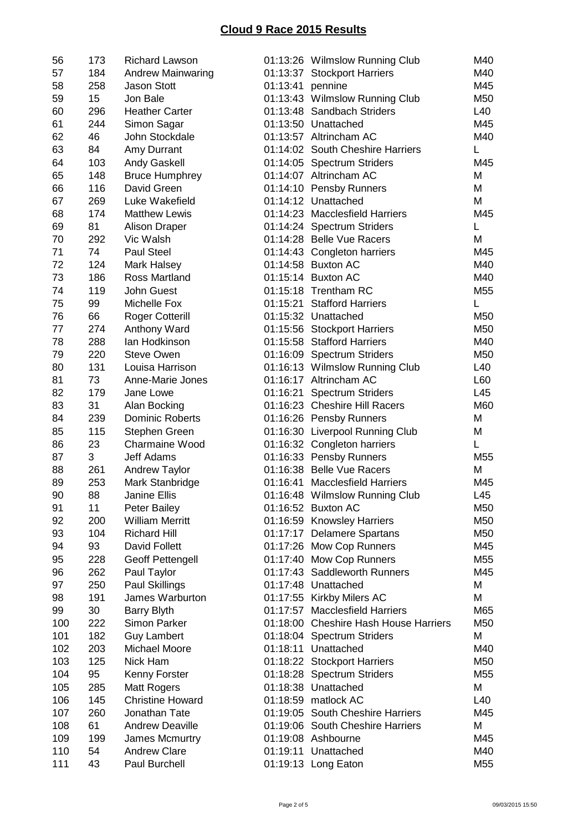| 56  | 173 | <b>Richard Lawson</b>    |                  | 01:13:26 Wilmslow Running Club        | M40             |
|-----|-----|--------------------------|------------------|---------------------------------------|-----------------|
| 57  | 184 | <b>Andrew Mainwaring</b> |                  | 01:13:37 Stockport Harriers           | M40             |
| 58  | 258 | <b>Jason Stott</b>       | 01:13:41 pennine |                                       | M45             |
| 59  | 15  | Jon Bale                 |                  | 01:13:43 Wilmslow Running Club        | M50             |
| 60  | 296 | <b>Heather Carter</b>    |                  | 01:13:48 Sandbach Striders            | L40             |
| 61  | 244 | Simon Sagar              |                  | 01:13:50 Unattached                   | M45             |
| 62  | 46  | John Stockdale           |                  | 01:13:57 Altrincham AC                | M40             |
| 63  | 84  | Amy Durrant              |                  | 01:14:02 South Cheshire Harriers      | L               |
| 64  | 103 | <b>Andy Gaskell</b>      |                  | 01:14:05 Spectrum Striders            | M45             |
| 65  | 148 | <b>Bruce Humphrey</b>    |                  | 01:14:07 Altrincham AC                | M               |
| 66  | 116 | David Green              |                  | 01:14:10 Pensby Runners               | M               |
| 67  | 269 | Luke Wakefield           |                  | 01:14:12 Unattached                   | M               |
| 68  | 174 | <b>Matthew Lewis</b>     |                  | 01:14:23 Macclesfield Harriers        | M45             |
| 69  | 81  | <b>Alison Draper</b>     |                  | 01:14:24 Spectrum Striders            | L               |
| 70  | 292 | Vic Walsh                |                  | 01:14:28 Belle Vue Racers             | M               |
| 71  | 74  | <b>Paul Steel</b>        |                  | 01:14:43 Congleton harriers           | M45             |
| 72  | 124 | Mark Halsey              |                  | 01:14:58 Buxton AC                    | M40             |
| 73  | 186 | Ross Martland            |                  | 01:15:14 Buxton AC                    | M40             |
| 74  | 119 | John Guest               |                  | 01:15:18 Trentham RC                  | M55             |
| 75  | 99  | Michelle Fox             |                  | 01:15:21 Stafford Harriers            | L               |
| 76  | 66  | <b>Roger Cotterill</b>   |                  | 01:15:32 Unattached                   | M50             |
| 77  | 274 | Anthony Ward             |                  | 01:15:56 Stockport Harriers           | M50             |
| 78  | 288 | Ian Hodkinson            |                  | 01:15:58 Stafford Harriers            | M40             |
| 79  | 220 | <b>Steve Owen</b>        |                  | 01:16:09 Spectrum Striders            | M50             |
| 80  | 131 | Louisa Harrison          |                  | 01:16:13 Wilmslow Running Club        | L40             |
| 81  | 73  | Anne-Marie Jones         |                  | 01:16:17 Altrincham AC                | L60             |
| 82  | 179 | Jane Lowe                |                  | 01:16:21 Spectrum Striders            | L45             |
| 83  | 31  | Alan Bocking             |                  | 01:16:23 Cheshire Hill Racers         | M60             |
| 84  | 239 | <b>Dominic Roberts</b>   |                  | 01:16:26 Pensby Runners               | M               |
| 85  | 115 | Stephen Green            |                  | 01:16:30 Liverpool Running Club       | M               |
| 86  | 23  | <b>Charmaine Wood</b>    |                  | 01:16:32 Congleton harriers           | Г               |
| 87  | 3   | Jeff Adams               |                  | 01:16:33 Pensby Runners               | M <sub>55</sub> |
| 88  | 261 | <b>Andrew Taylor</b>     |                  | 01:16:38 Belle Vue Racers             | M               |
| 89  | 253 | Mark Stanbridge          | 01:16:41         | <b>Macclesfield Harriers</b>          | M45             |
| 90  | 88  | Janine Ellis             |                  | 01:16:48 Wilmslow Running Club        | L45             |
| 91  | 11  | <b>Peter Bailey</b>      |                  | 01:16:52 Buxton AC                    | M50             |
| 92  | 200 | <b>William Merritt</b>   |                  | 01:16:59 Knowsley Harriers            | M50             |
| 93  | 104 | <b>Richard Hill</b>      |                  | 01:17:17 Delamere Spartans            | M50             |
| 94  | 93  | David Follett            |                  | 01:17:26 Mow Cop Runners              | M45             |
| 95  | 228 | <b>Geoff Pettengell</b>  |                  | 01:17:40 Mow Cop Runners              | M55             |
| 96  | 262 | Paul Taylor              |                  | 01:17:43 Saddleworth Runners          | M45             |
| 97  | 250 | Paul Skillings           |                  | 01:17:48 Unattached                   | M               |
| 98  | 191 | James Warburton          |                  | 01:17:55 Kirkby Milers AC             | M               |
| 99  | 30  | <b>Barry Blyth</b>       |                  | 01:17:57 Macclesfield Harriers        | M65             |
| 100 | 222 | Simon Parker             |                  | 01:18:00 Cheshire Hash House Harriers | M50             |
| 101 | 182 | <b>Guy Lambert</b>       |                  | 01:18:04 Spectrum Striders            | M               |
| 102 | 203 | Michael Moore            |                  | 01:18:11 Unattached                   | M40             |
| 103 | 125 | Nick Ham                 |                  | 01:18:22 Stockport Harriers           | M50             |
| 104 | 95  | Kenny Forster            |                  | 01:18:28 Spectrum Striders            | M55             |
| 105 | 285 | <b>Matt Rogers</b>       |                  | 01:18:38 Unattached                   | М               |
| 106 | 145 | <b>Christine Howard</b>  |                  | 01:18:59 matlock AC                   | L40             |
| 107 | 260 | Jonathan Tate            |                  | 01:19:05 South Cheshire Harriers      | M45             |
| 108 | 61  | <b>Andrew Deaville</b>   |                  | 01:19:06 South Cheshire Harriers      | M               |
| 109 | 199 | James Mcmurtry           |                  | 01:19:08 Ashbourne                    | M45             |
| 110 | 54  | <b>Andrew Clare</b>      |                  | 01:19:11 Unattached                   | M40             |
| 111 | 43  | Paul Burchell            |                  | 01:19:13 Long Eaton                   | M55             |
|     |     |                          |                  |                                       |                 |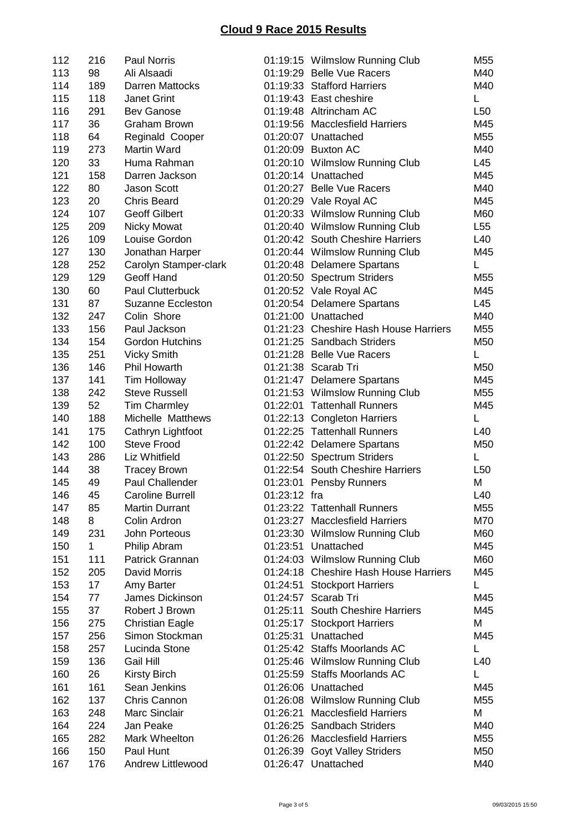| 112 | 216          | <b>Paul Norris</b>       |              | 01:19:15 Wilmslow Running Club        | M55             |
|-----|--------------|--------------------------|--------------|---------------------------------------|-----------------|
| 113 | 98           | Ali Alsaadi              |              | 01:19:29 Belle Vue Racers             | M40             |
| 114 | 189          | <b>Darren Mattocks</b>   |              | 01:19:33 Stafford Harriers            | M40             |
| 115 | 118          | Janet Grint              |              | 01:19:43 East cheshire                | L               |
| 116 | 291          | <b>Bev Ganose</b>        |              | 01:19:48 Altrincham AC                | L <sub>50</sub> |
| 117 | 36           | <b>Graham Brown</b>      |              | 01:19:56 Macclesfield Harriers        | M45             |
| 118 | 64           | Reginald Cooper          |              | 01:20:07 Unattached                   | M55             |
| 119 | 273          | Martin Ward              |              | 01:20:09 Buxton AC                    | M40             |
| 120 | 33           | Huma Rahman              |              | 01:20:10 Wilmslow Running Club        | L45             |
| 121 | 158          | Darren Jackson           |              | 01:20:14 Unattached                   | M45             |
| 122 | 80           | <b>Jason Scott</b>       |              | 01:20:27 Belle Vue Racers             | M40             |
| 123 | 20           | <b>Chris Beard</b>       |              | 01:20:29 Vale Royal AC                | M45             |
| 124 | 107          | <b>Geoff Gilbert</b>     |              | 01:20:33 Wilmslow Running Club        | M60             |
| 125 | 209          | <b>Nicky Mowat</b>       |              | 01:20:40 Wilmslow Running Club        | L55             |
| 126 | 109          | Louise Gordon            |              | 01:20:42 South Cheshire Harriers      | L40             |
| 127 | 130          | Jonathan Harper          |              | 01:20:44 Wilmslow Running Club        | M45             |
| 128 | 252          | Carolyn Stamper-clark    |              | 01:20:48 Delamere Spartans            | L               |
| 129 | 129          | Geoff Hand               |              | 01:20:50 Spectrum Striders            | M <sub>55</sub> |
| 130 | 60           | <b>Paul Clutterbuck</b>  |              | 01:20:52 Vale Royal AC                | M45             |
| 131 | 87           | <b>Suzanne Eccleston</b> |              | 01:20:54 Delamere Spartans            | L45             |
| 132 | 247          | Colin Shore              |              | 01:21:00 Unattached                   | M40             |
| 133 | 156          | Paul Jackson             |              | 01:21:23 Cheshire Hash House Harriers | M55             |
| 134 | 154          | <b>Gordon Hutchins</b>   |              | 01:21:25 Sandbach Striders            | M50             |
| 135 | 251          | <b>Vicky Smith</b>       |              | 01:21:28 Belle Vue Racers             | L               |
| 136 | 146          | Phil Howarth             |              | 01:21:38 Scarab Tri                   | M50             |
| 137 | 141          | Tim Holloway             |              | 01:21:47 Delamere Spartans            | M45             |
| 138 | 242          | <b>Steve Russell</b>     |              | 01:21:53 Wilmslow Running Club        | M55             |
| 139 | 52           | <b>Tim Charmley</b>      |              | 01:22:01 Tattenhall Runners           | M45             |
| 140 | 188          | Michelle Matthews        |              | 01:22:13 Congleton Harriers           | L               |
| 141 | 175          | Cathryn Lightfoot        |              | 01:22:25 Tattenhall Runners           | L40             |
| 142 | 100          | <b>Steve Frood</b>       |              | 01:22:42 Delamere Spartans            | M50             |
| 143 | 286          | Liz Whitfield            |              | 01:22:50 Spectrum Striders            | L               |
| 144 | 38           | <b>Tracey Brown</b>      |              | 01:22:54 South Cheshire Harriers      | L50             |
| 145 | 49           | Paul Challender          |              | 01:23:01 Pensby Runners               | M               |
| 146 | 45           | Caroline Burrell         | 01:23:12 fra |                                       | L40             |
| 147 | 85           | <b>Martin Durrant</b>    |              | 01:23:22 Tattenhall Runners           | M55             |
| 148 | 8            | Colin Ardron             |              | 01:23:27 Macclesfield Harriers        | M70             |
| 149 | 231          | John Porteous            |              | 01:23:30 Wilmslow Running Club        | M60             |
| 150 | $\mathbf{1}$ | Philip Abram             |              | 01:23:51 Unattached                   | M45             |
| 151 | 111          | Patrick Grannan          |              | 01:24:03 Wilmslow Running Club        | M60             |
| 152 | 205          | <b>David Morris</b>      |              | 01:24:18 Cheshire Hash House Harriers | M45             |
| 153 | 17           | Amy Barter               |              | 01:24:51 Stockport Harriers           | L               |
| 154 | 77           | James Dickinson          |              | 01:24:57 Scarab Tri                   | M45             |
| 155 | 37           | Robert J Brown           |              | 01:25:11 South Cheshire Harriers      | M45             |
| 156 | 275          | <b>Christian Eagle</b>   |              | 01:25:17 Stockport Harriers           | M               |
| 157 | 256          | Simon Stockman           |              | 01:25:31 Unattached                   | M45             |
| 158 | 257          | Lucinda Stone            |              | 01:25:42 Staffs Moorlands AC          | L               |
| 159 | 136          | Gail Hill                |              | 01:25:46 Wilmslow Running Club        | L40             |
| 160 | 26           | <b>Kirsty Birch</b>      |              | 01:25:59 Staffs Moorlands AC          | L               |
| 161 | 161          | Sean Jenkins             |              | 01:26:06 Unattached                   | M45             |
| 162 | 137          | Chris Cannon             |              | 01:26:08 Wilmslow Running Club        | M55             |
| 163 | 248          | Marc Sinclair            |              | 01:26:21 Macclesfield Harriers        | М               |
| 164 | 224          | Jan Peake                |              | 01:26:25 Sandbach Striders            | M40             |
| 165 | 282          | Mark Wheelton            |              | 01:26:26 Macclesfield Harriers        | M55             |
| 166 | 150          | Paul Hunt                |              | 01:26:39 Goyt Valley Striders         | M50             |
| 167 | 176          | Andrew Littlewood        |              | 01:26:47 Unattached                   | M40             |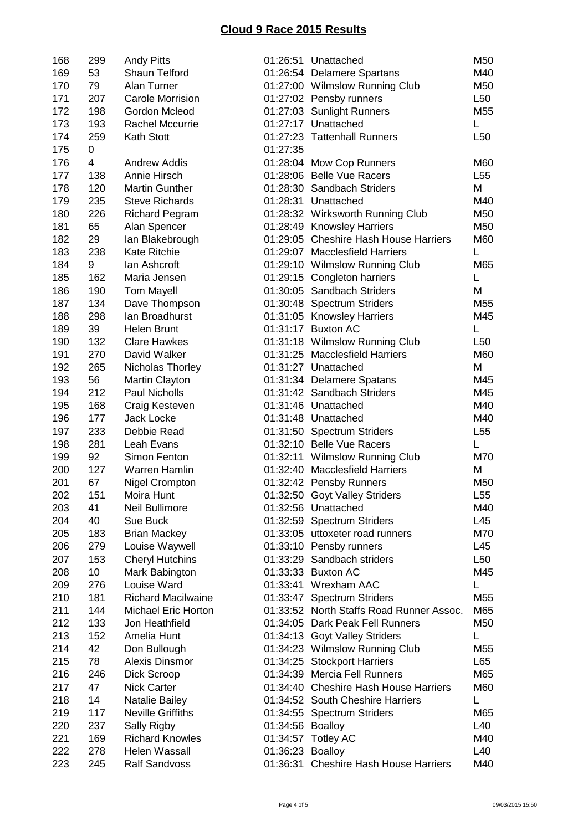| 168 | 299            | <b>Andy Pitts</b>          |                  | 01:26:51 Unattached                      | M50             |
|-----|----------------|----------------------------|------------------|------------------------------------------|-----------------|
| 169 | 53             | Shaun Telford              |                  | 01:26:54 Delamere Spartans               | M40             |
| 170 | 79             | Alan Turner                |                  | 01:27:00 Wilmslow Running Club           | M50             |
| 171 | 207            | <b>Carole Morrision</b>    |                  | 01:27:02 Pensby runners                  | L <sub>50</sub> |
| 172 | 198            | Gordon Mcleod              |                  | 01:27:03 Sunlight Runners                | M55             |
| 173 | 193            | <b>Rachel Mccurrie</b>     |                  | 01:27:17 Unattached                      | Г               |
| 174 | 259            | Kath Stott                 |                  | 01:27:23 Tattenhall Runners              | L <sub>50</sub> |
| 175 | 0              |                            | 01:27:35         |                                          |                 |
| 176 | $\overline{4}$ | <b>Andrew Addis</b>        |                  | 01:28:04 Mow Cop Runners                 | M60             |
| 177 | 138            | Annie Hirsch               |                  | 01:28:06 Belle Vue Racers                | L55             |
| 178 | 120            | <b>Martin Gunther</b>      |                  | 01:28:30 Sandbach Striders               | M               |
| 179 | 235            | <b>Steve Richards</b>      |                  | 01:28:31 Unattached                      | M40             |
| 180 | 226            | <b>Richard Pegram</b>      |                  | 01:28:32 Wirksworth Running Club         | M50             |
| 181 | 65             | Alan Spencer               |                  | 01:28:49 Knowsley Harriers               | M50             |
| 182 | 29             | lan Blakebrough            |                  | 01:29:05 Cheshire Hash House Harriers    | M60             |
| 183 | 238            | <b>Kate Ritchie</b>        |                  | 01:29:07 Macclesfield Harriers           | L               |
| 184 | 9              | lan Ashcroft               |                  | 01:29:10 Wilmslow Running Club           | M65             |
| 185 | 162            | Maria Jensen               |                  | 01:29:15 Congleton harriers              | L               |
| 186 | 190            | <b>Tom Mayell</b>          |                  | 01:30:05 Sandbach Striders               | Μ               |
| 187 | 134            | Dave Thompson              |                  | 01:30:48 Spectrum Striders               | M55             |
| 188 | 298            | lan Broadhurst             |                  | 01:31:05 Knowsley Harriers               | M45             |
| 189 | 39             | <b>Helen Brunt</b>         |                  | 01:31:17 Buxton AC                       | L               |
| 190 | 132            | <b>Clare Hawkes</b>        |                  | 01:31:18 Wilmslow Running Club           | L50             |
| 191 | 270            | David Walker               |                  | 01:31:25 Macclesfield Harriers           | M60             |
| 192 | 265            | Nicholas Thorley           |                  | 01:31:27 Unattached                      | M               |
| 193 | 56             | Martin Clayton             |                  | 01:31:34 Delamere Spatans                | M45             |
| 194 | 212            | <b>Paul Nicholls</b>       |                  | 01:31:42 Sandbach Striders               | M45             |
| 195 | 168            | Craig Kesteven             |                  | 01:31:46 Unattached                      | M40             |
| 196 | 177            | Jack Locke                 |                  | 01:31:48 Unattached                      | M40             |
| 197 | 233            | Debbie Read                |                  | 01:31:50 Spectrum Striders               | L <sub>55</sub> |
| 198 | 281            | Leah Evans                 |                  | 01:32:10 Belle Vue Racers                | L               |
| 199 | 92             | Simon Fenton               |                  | 01:32:11 Wilmslow Running Club           | M70             |
| 200 | 127            | Warren Hamlin              |                  | 01:32:40 Macclesfield Harriers           | M               |
| 201 | 67             | <b>Nigel Crompton</b>      |                  | 01:32:42 Pensby Runners                  | M50             |
| 202 | 151            | Moira Hunt                 |                  | 01:32:50 Goyt Valley Striders            | L <sub>55</sub> |
| 203 | 41             | Neil Bullimore             |                  | 01:32:56 Unattached                      | M40             |
| 204 | 40             | Sue Buck                   |                  | 01:32:59 Spectrum Striders               | L45             |
| 205 | 183            | <b>Brian Mackey</b>        |                  | 01:33:05 uttoxeter road runners          | M70             |
| 206 | 279            | Louise Waywell             |                  | 01:33:10 Pensby runners                  | L45             |
| 207 | 153            | <b>Cheryl Hutchins</b>     |                  | 01:33:29 Sandbach striders               | L50             |
| 208 | 10             | Mark Babington             |                  | 01:33:33 Buxton AC                       | M45             |
| 209 | 276            | Louise Ward                |                  | 01:33:41 Wrexham AAC                     | L.              |
| 210 | 181            | <b>Richard Macilwaine</b>  |                  | 01:33:47 Spectrum Striders               | M55             |
| 211 | 144            | <b>Michael Eric Horton</b> |                  | 01:33:52 North Staffs Road Runner Assoc. | M65             |
| 212 | 133            | Jon Heathfield             |                  | 01:34:05 Dark Peak Fell Runners          | M50             |
| 213 | 152            | Amelia Hunt                |                  | 01:34:13 Goyt Valley Striders            | L.              |
| 214 | 42             | Don Bullough               |                  | 01:34:23 Wilmslow Running Club           | M55             |
| 215 | 78             | Alexis Dinsmor             |                  | 01:34:25 Stockport Harriers              | L65             |
| 216 | 246            | Dick Scroop                |                  | 01:34:39 Mercia Fell Runners             | M65             |
| 217 | 47             | <b>Nick Carter</b>         |                  | 01:34:40 Cheshire Hash House Harriers    | M60             |
| 218 | 14             | Natalie Bailey             |                  | 01:34:52 South Cheshire Harriers         | L               |
| 219 | 117            | <b>Neville Griffiths</b>   |                  | 01:34:55 Spectrum Striders               | M65             |
| 220 | 237            | Sally Rigby                | 01:34:56 Boalloy |                                          | L40             |
| 221 | 169            | <b>Richard Knowles</b>     |                  | 01:34:57 Totley AC                       | M40             |
| 222 | 278            | Helen Wassall              | 01:36:23 Boalloy |                                          | L40             |
| 223 | 245            | <b>Ralf Sandvoss</b>       |                  | 01:36:31 Cheshire Hash House Harriers    | M40             |